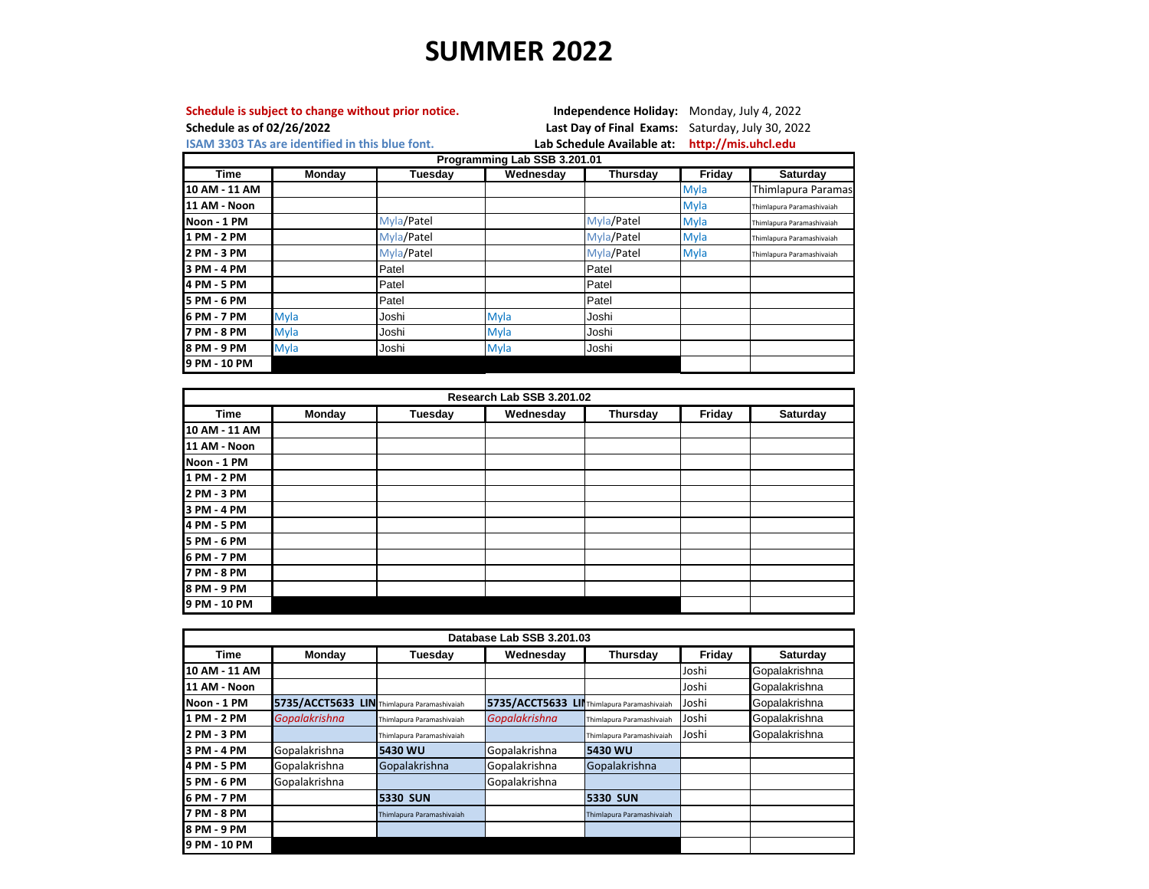## **SUMMER 2022**

| Schedule as of 02/26/2022    |                                                        | Schedule is subject to change without prior notice. |             |                                                   | <b>Independence Holiday:</b> Monday, July 4, 2022<br>Last Day of Final Exams: Saturday, July 30, 2022 |                           |  |  |  |
|------------------------------|--------------------------------------------------------|-----------------------------------------------------|-------------|---------------------------------------------------|-------------------------------------------------------------------------------------------------------|---------------------------|--|--|--|
|                              | <b>ISAM 3303 TAs are identified in this blue font.</b> |                                                     |             | http://mis.uhcl.edu<br>Lab Schedule Available at: |                                                                                                       |                           |  |  |  |
| Programming Lab SSB 3.201.01 |                                                        |                                                     |             |                                                   |                                                                                                       |                           |  |  |  |
| Time                         | Monday                                                 | Tuesday                                             | Wednesdav   | Thursday                                          | Fridav                                                                                                | Saturday                  |  |  |  |
| 10 AM - 11 AM                |                                                        |                                                     |             |                                                   | Myla                                                                                                  | Thimlapura Paramas        |  |  |  |
| 11 AM - Noon                 |                                                        |                                                     |             |                                                   | <b>Myla</b>                                                                                           | Thimlapura Paramashivaiah |  |  |  |
| Noon - 1 PM                  |                                                        | Myla/Patel                                          |             | Myla/Patel                                        | Myla                                                                                                  | Thimlapura Paramashivaiah |  |  |  |
| 1 PM - 2 PM                  |                                                        | Myla/Patel                                          |             | Myla/Patel                                        | <b>Myla</b>                                                                                           | Thimlapura Paramashivaiah |  |  |  |
| 2 PM - 3 PM                  |                                                        | Myla/Patel                                          |             | Myla/Patel                                        | <b>Myla</b>                                                                                           | Thimlapura Paramashivaiah |  |  |  |
| 3 PM - 4 PM                  |                                                        | Patel                                               |             | Patel                                             |                                                                                                       |                           |  |  |  |
| 4 PM - 5 PM                  |                                                        | Patel                                               |             | Patel                                             |                                                                                                       |                           |  |  |  |
| 5 PM - 6 PM                  |                                                        | Patel                                               |             | Patel                                             |                                                                                                       |                           |  |  |  |
| 6 PM - 7 PM                  | <b>Myla</b>                                            | Joshi                                               | Myla        | Joshi                                             |                                                                                                       |                           |  |  |  |
| 7 PM - 8 PM                  | <b>Myla</b>                                            | Joshi                                               | <b>Myla</b> | Joshi                                             |                                                                                                       |                           |  |  |  |
| 8 PM - 9 PM                  | <b>Myla</b>                                            | Joshi                                               | <b>Myla</b> | Joshi                                             |                                                                                                       |                           |  |  |  |
| 9 PM - 10 PM                 |                                                        |                                                     |             |                                                   |                                                                                                       |                           |  |  |  |

| Research Lab SSB 3.201.02 |               |         |           |          |        |          |  |  |
|---------------------------|---------------|---------|-----------|----------|--------|----------|--|--|
| <b>Time</b>               | <b>Monday</b> | Tuesday | Wednesday | Thursday | Friday | Saturday |  |  |
| 10 AM - 11 AM             |               |         |           |          |        |          |  |  |
| 11 AM - Noon              |               |         |           |          |        |          |  |  |
| Noon - 1 PM               |               |         |           |          |        |          |  |  |
| 1 PM - 2 PM               |               |         |           |          |        |          |  |  |
| 2 PM - 3 PM               |               |         |           |          |        |          |  |  |
| 3 PM - 4 PM               |               |         |           |          |        |          |  |  |
| 4 PM - 5 PM               |               |         |           |          |        |          |  |  |
| 5 PM - 6 PM               |               |         |           |          |        |          |  |  |
| 6 PM - 7 PM               |               |         |           |          |        |          |  |  |
| 7 PM - 8 PM               |               |         |           |          |        |          |  |  |
| 8 PM - 9 PM               |               |         |           |          |        |          |  |  |
| 9 PM - 10 PM              |               |         |           |          |        |          |  |  |

| Database Lab SSB 3.201.03 |                                             |                           |                                             |                           |        |                 |  |  |
|---------------------------|---------------------------------------------|---------------------------|---------------------------------------------|---------------------------|--------|-----------------|--|--|
| <b>Time</b>               | Monday                                      | Tuesday                   | Wednesday                                   | Thursday                  | Friday | <b>Saturday</b> |  |  |
| 10 AM - 11 AM             |                                             |                           |                                             |                           | Joshi  | Gopalakrishna   |  |  |
| 11 AM - Noon              |                                             |                           |                                             |                           | Joshi  | Gopalakrishna   |  |  |
| Noon - 1 PM               | 5735/ACCT5633 LIN Thimlapura Paramashivaiah |                           | 5735/ACCT5633 LII Thimlapura Paramashivaiah |                           | Joshi  | Gopalakrishna   |  |  |
| 1 PM - 2 PM               | Gopalakrishna                               | Thimlapura Paramashivaiah | Gopalakrishna                               | Thimlapura Paramashivaiah | Joshi  | Gopalakrishna   |  |  |
| 2 PM - 3 PM               |                                             | Thimlapura Paramashivaiah |                                             | Thimlapura Paramashivaiah | Joshi  | Gopalakrishna   |  |  |
| 3 PM - 4 PM               | Gopalakrishna                               | 5430 WU                   | Gopalakrishna                               | 5430 WU                   |        |                 |  |  |
| 4 PM - 5 PM               | Gopalakrishna                               | Gopalakrishna             | Gopalakrishna                               | Gopalakrishna             |        |                 |  |  |
| 5 PM - 6 PM               | Gopalakrishna                               |                           | Gopalakrishna                               |                           |        |                 |  |  |
| 6 PM - 7 PM               |                                             | <b>5330 SUN</b>           |                                             | <b>5330 SUN</b>           |        |                 |  |  |
| 7 PM - 8 PM               |                                             | Thimlapura Paramashivaiah |                                             | Thimlapura Paramashivaiah |        |                 |  |  |
| 8 PM - 9 PM               |                                             |                           |                                             |                           |        |                 |  |  |
| 9 PM - 10 PM              |                                             |                           |                                             |                           |        |                 |  |  |